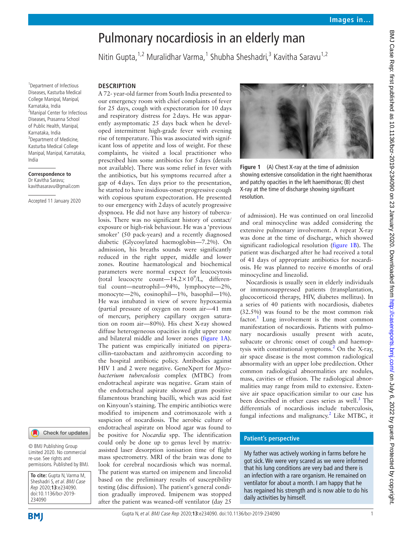# Pulmonary nocardiosis in an elderly man

Nitin Gupta, <sup>1,2</sup> Muralidhar Varma, <sup>1</sup> Shubha Sheshadri, <sup>3</sup> Kavitha Saravu <sup>1,2</sup>

1 Department of Infectious Diseases, Kasturba Medical College Manipal, Manipal, Karnataka, India <sup>2</sup>Manipal Center for Infectious Diseases, Prasanna School of Public Health, Manipal, Karnataka, India <sup>3</sup>Department of Medicine, Kasturba Medical College Manipal, Manipal, Karnataka, India

#### **Correspondence to** Dr Kavitha Saravu;

kavithasaravu@gmail.com

Accepted 11 January 2020

#### Check for updates

© BMJ Publishing Group Limited 2020. No commercial re-use. See rights and permissions. Published by BMJ.

**To cite:** Gupta N, Varma M, Sheshadri S, et al. BMJ Case Rep 2020;**13**:e234090. doi:10.1136/bcr-2019- 234090

# **BMI**



## **Description**

A 72- year-old farmer from South India presented to our emergency room with chief complaints of fever for 25 days, cough with expectoration for 10 days and respiratory distress for 2days. He was apparently asymptomatic 25 days back when he developed intermittent high-grade fever with evening rise of temperature. This was associated with significant loss of appetite and loss of weight. For these complaints, he visited a local practitioner who prescribed him some antibiotics for 5days (details not available). There was some relief in fever with the antibiotics, but his symptoms recurred after a gap of 4days. Ten days prior to the presentation, he started to have insidious-onset progressive cough with copious sputum expectoration. He presented to our emergency with 2days of acutely progressive dyspnoea. He did not have any history of tuberculosis. There was no significant history of contact/ exposure or high-risk behaviour. He was a 'previous smoker' (50 pack-years) and a recently diagnosed diabetic (Glycosylated haemoglobin—7.2%). On admission, his breaths sounds were significantly reduced in the right upper, middle and lower zones. Routine haematological and biochemical parameters were normal expect for leucocytosis (total leucocyte count- $14.2 \times 10^9$ /L, differential count—neutrophil—94%, lymphocyte—2%, monocyte—2%, eosinophil—1%, basophil—1%). He was intubated in view of severe hypoxaemia (partial pressure of oxygen on room air—41 mm of mercury, periphery capillary oxygen saturation on room air—80%). His chest X-ray showed diffuse heterogeneous opacities in right upper zone and bilateral middle and lower zones ([figure](#page-0-0) 1A). The patient was empirically initiated on piperacillin–tazobactam and azithromycin according to the hospital antibiotic policy. Antibodies against HIV 1 and 2 were negative. GeneXpert for *Mycobacterium tuberculosis* complex (MTBC) from endotracheal aspirate was negative. Gram stain of the endotracheal aspirate showed gram positive filamentous branching bacilli, which was acid fast on Kinyoun's staining. The empiric antibiotics were modified to imipenem and cotrimoxazole with a suspicion of nocardiosis. The aerobic culture of endotracheal aspirate on blood agar was found to be positive for *Nocardia* spp. The identification could only be done up to genus level by matrixassisted laser desorption ionisation time of flight mass spectrometry. MRI of the brain was done to look for cerebral nocardiosis which was normal. The patient was started on imipenem and linezolid based on the preliminary results of susceptibility testing (disc diffusion). The patient's general condition gradually improved. Imipenem was stopped after the patient was weaned-off ventilator (day 25



**Figure 1** (A) Chest X-ray at the time of admission showing extensive consolidation in the right haemithorax and patchy opacities in the left haemithorax; (B) chest X-ray at the time of discharge showing significant resolution.

<span id="page-0-0"></span>of admission). He was continued on oral linezolid and oral minocycline was added considering the extensive pulmonary involvement. A repeat X-ray was done at the time of discharge, which showed significant radiological resolution ([figure](#page-0-0) 1B). The patient was discharged after he had received a total of 41 days of appropriate antibiotics for nocardiosis. He was planned to receive 6months of oral minocycline and linezolid.

Nocardiosis is usually seen in elderly individuals or immunosuppressed patients (transplantation, glucocorticoid therapy, HIV, diabetes mellitus). In a series of 40 patients with nocardiosis, diabetes (32.5%) was found to be the most common risk factor.<sup>1</sup> Lung involvement is the most common manifestation of nocardiosis. Patients with pulmonary nocardiosis usually present with acute, subacute or chronic onset of cough and haemop-tysis with constitutional symptoms.<sup>[2](#page-1-1)</sup> On the X-ray, air space disease is the most common radiological abnormality with an upper lobe predilection. Other common radiological abnormalities are nodules, mass, cavities or effusion. The radiological abnormalities may range from mild to extensive. Extensive air space opacification similar to our case has been described in other cases series as well.<sup>[3](#page-1-2)</sup> The differentials of nocardiosis include tuberculosis, fungal infections and malignancy.<sup>[2](#page-1-1)</sup> Like MTBC, it

### **Patient's perspective**

My father was actively working in farms before he got sick. We were very scared as we were informed that his lung conditions are very bad and there is an infection with a rare organism. He remained on ventilator for about a month. I am happy that he has regained his strength and is now able to do his daily activities by himself.